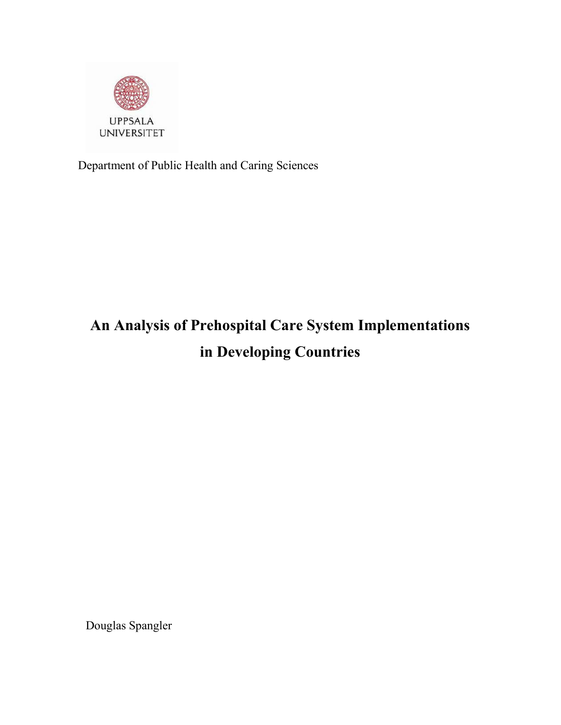

Department of Public Health and Caring Sciences

# **An Analysis of Prehospital Care System Implementations in Developing Countries**

Douglas Spangler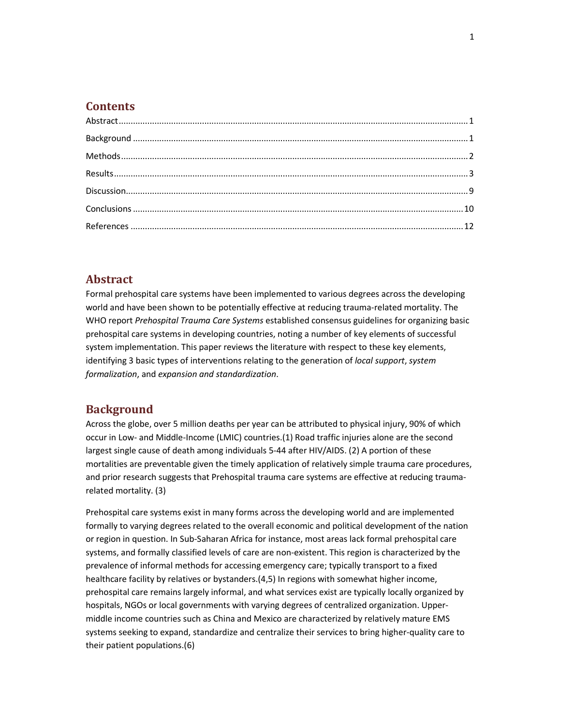#### **Contents**

## **Abstract**

Formal prehospital care systems have been implemented to various degrees across the developing world and have been shown to be potentially effective at reducing trauma-related mortality. The WHO report *Prehospital Trauma Care Systems* established consensus guidelines for organizing basic prehospital care systems in developing countries, noting a number of key elements of successful system implementation. This paper reviews the literature with respect to these key elements, identifying 3 basic types of interventions relating to the generation of *local support*, *system formalization*, and *expansion and standardization*.

## **Background**

Across the globe, over 5 million deaths per year can be attributed to physical injury, 90% of which occur in Low- and Middle-Income (LMIC) countries.(1) Road traffic injuries alone are the second largest single cause of death among individuals 5-44 after HIV/AIDS. (2) A portion of these mortalities are preventable given the timely application of relatively simple trauma care procedures, and prior research suggests that Prehospital trauma care systems are effective at reducing traumarelated mortality. (3)

Prehospital care systems exist in many forms across the developing world and are implemented formally to varying degrees related to the overall economic and political development of the nation or region in question. In Sub-Saharan Africa for instance, most areas lack formal prehospital care systems, and formally classified levels of care are non-existent. This region is characterized by the prevalence of informal methods for accessing emergency care; typically transport to a fixed healthcare facility by relatives or bystanders.(4,5) In regions with somewhat higher income, prehospital care remains largely informal, and what services exist are typically locally organized by hospitals, NGOs or local governments with varying degrees of centralized organization. Uppermiddle income countries such as China and Mexico are characterized by relatively mature EMS systems seeking to expand, standardize and centralize their services to bring higher-quality care to their patient populations.(6)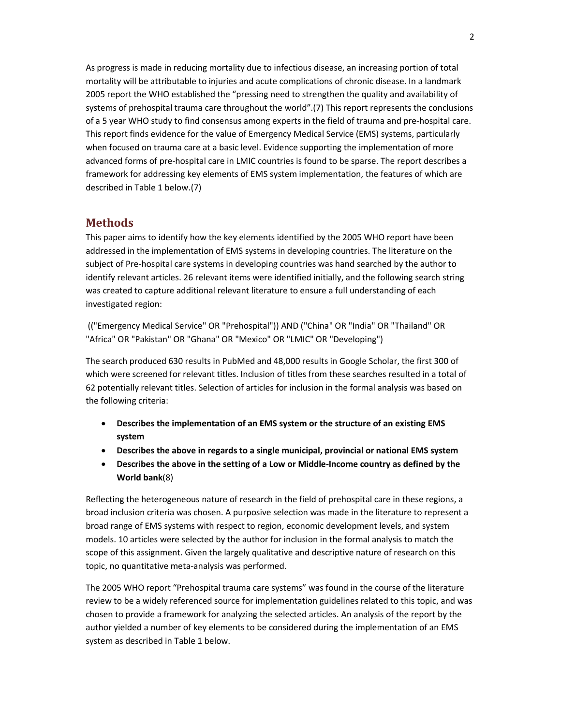As progress is made in reducing mortality due to infectious disease, an increasing portion of total mortality will be attributable to injuries and acute complications of chronic disease. In a landmark 2005 report the WHO established the "pressing need to strengthen the quality and availability of systems of prehospital trauma care throughout the world".(7) This report represents the conclusions of a 5 year WHO study to find consensus among experts in the field of trauma and pre-hospital care. This report finds evidence for the value of Emergency Medical Service (EMS) systems, particularly when focused on trauma care at a basic level. Evidence supporting the implementation of more advanced forms of pre-hospital care in LMIC countries is found to be sparse. The report describes a framework for addressing key elements of EMS system implementation, the features of which are described in Table 1 below.(7)

## **Methods**

This paper aims to identify how the key elements identified by the 2005 WHO report have been addressed in the implementation of EMS systems in developing countries. The literature on the subject of Pre-hospital care systems in developing countries was hand searched by the author to identify relevant articles. 26 relevant items were identified initially, and the following search string was created to capture additional relevant literature to ensure a full understanding of each investigated region:

(("Emergency Medical Service" OR "Prehospital")) AND ("China" OR "India" OR "Thailand" OR "Africa" OR "Pakistan" OR "Ghana" OR "Mexico" OR "LMIC" OR "Developing")

The search produced 630 results in PubMed and 48,000 results in Google Scholar, the first 300 of which were screened for relevant titles. Inclusion of titles from these searches resulted in a total of 62 potentially relevant titles. Selection of articles for inclusion in the formal analysis was based on the following criteria:

- **Describes the implementation of an EMS system or the structure of an existing EMS system**
- **Describes the above in regards to a single municipal, provincial or national EMS system**
- **Describes the above in the setting of a Low or Middle-Income country as defined by the World bank**(8)

Reflecting the heterogeneous nature of research in the field of prehospital care in these regions, a broad inclusion criteria was chosen. A purposive selection was made in the literature to represent a broad range of EMS systems with respect to region, economic development levels, and system models. 10 articles were selected by the author for inclusion in the formal analysis to match the scope of this assignment. Given the largely qualitative and descriptive nature of research on this topic, no quantitative meta-analysis was performed.

The 2005 WHO report "Prehospital trauma care systems" was found in the course of the literature review to be a widely referenced source for implementation guidelines related to this topic, and was chosen to provide a framework for analyzing the selected articles. An analysis of the report by the author yielded a number of key elements to be considered during the implementation of an EMS system as described in Table 1 below.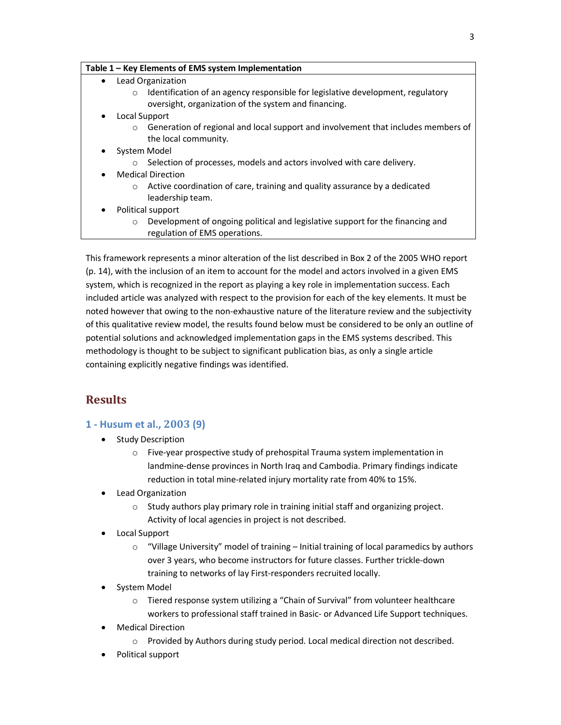| Table 1 - Key Elements of EMS system Implementation |  |
|-----------------------------------------------------|--|
|-----------------------------------------------------|--|

- Lead Organization
	- o Identification of an agency responsible for legislative development, regulatory oversight, organization of the system and financing.
- Local Support
	- $\circ$  Generation of regional and local support and involvement that includes members of the local community.
- System Model
	- o Selection of processes, models and actors involved with care delivery.
- Medical Direction
	- o Active coordination of care, training and quality assurance by a dedicated leadership team.
- Political support
	- o Development of ongoing political and legislative support for the financing and regulation of EMS operations.

This framework represents a minor alteration of the list described in Box 2 of the 2005 WHO report (p. 14), with the inclusion of an item to account for the model and actors involved in a given EMS system, which is recognized in the report as playing a key role in implementation success. Each included article was analyzed with respect to the provision for each of the key elements. It must be noted however that owing to the non-exhaustive nature of the literature review and the subjectivity of this qualitative review model, the results found below must be considered to be only an outline of potential solutions and acknowledged implementation gaps in the EMS systems described. This methodology is thought to be subject to significant publication bias, as only a single article containing explicitly negative findings was identified.

# **Results**

## **1 - Husum et al., 2003 (9)**

- Study Description
	- o Five-year prospective study of prehospital Trauma system implementation in landmine-dense provinces in North Iraq and Cambodia. Primary findings indicate reduction in total mine-related injury mortality rate from 40% to 15%.
- Lead Organization
	- o Study authors play primary role in training initial staff and organizing project. Activity of local agencies in project is not described.
- Local Support
	- $\circ$  "Village University" model of training Initial training of local paramedics by authors over 3 years, who become instructors for future classes. Further trickle-down training to networks of lay First-responders recruited locally.
- System Model
	- o Tiered response system utilizing a "Chain of Survival" from volunteer healthcare workers to professional staff trained in Basic- or Advanced Life Support techniques.
- Medical Direction
	- $\circ$  Provided by Authors during study period. Local medical direction not described.
- Political support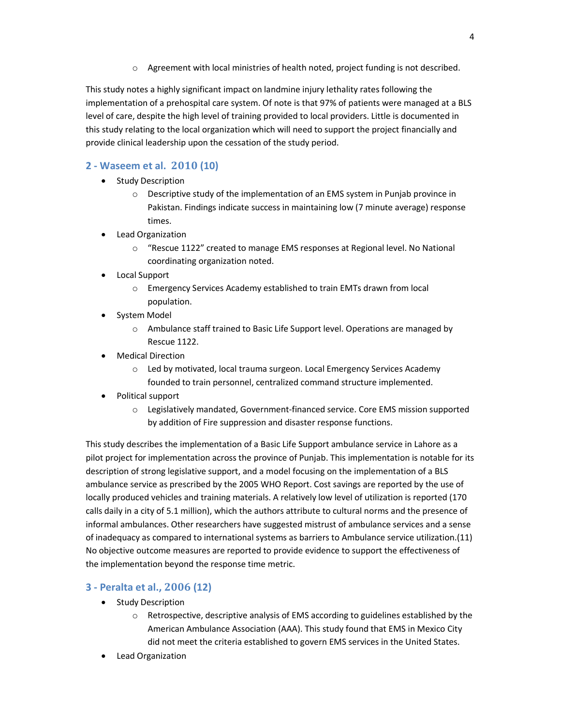o Agreement with local ministries of health noted, project funding is not described.

This study notes a highly significant impact on landmine injury lethality rates following the implementation of a prehospital care system. Of note is that 97% of patients were managed at a BLS level of care, despite the high level of training provided to local providers. Little is documented in this study relating to the local organization which will need to support the project financially and provide clinical leadership upon the cessation of the study period.

# **2 - Waseem et al. 2010 (10)**

- Study Description
	- o Descriptive study of the implementation of an EMS system in Punjab province in Pakistan. Findings indicate success in maintaining low (7 minute average) response times.
- Lead Organization
	- o "Rescue 1122" created to manage EMS responses at Regional level. No National coordinating organization noted.
- Local Support
	- o Emergency Services Academy established to train EMTs drawn from local population.
- System Model
	- $\circ$  Ambulance staff trained to Basic Life Support level. Operations are managed by Rescue 1122.
- Medical Direction
	- o Led by motivated, local trauma surgeon. Local Emergency Services Academy founded to train personnel, centralized command structure implemented.
- Political support
	- o Legislatively mandated, Government-financed service. Core EMS mission supported by addition of Fire suppression and disaster response functions.

This study describes the implementation of a Basic Life Support ambulance service in Lahore as a pilot project for implementation across the province of Punjab. This implementation is notable for its description of strong legislative support, and a model focusing on the implementation of a BLS ambulance service as prescribed by the 2005 WHO Report. Cost savings are reported by the use of locally produced vehicles and training materials. A relatively low level of utilization is reported (170 calls daily in a city of 5.1 million), which the authors attribute to cultural norms and the presence of informal ambulances. Other researchers have suggested mistrust of ambulance services and a sense of inadequacy as compared to international systems as barriers to Ambulance service utilization.(11) No objective outcome measures are reported to provide evidence to support the effectiveness of the implementation beyond the response time metric.

## **3 - Peralta et al., 2006 (12)**

- Study Description
	- $\circ$  Retrospective, descriptive analysis of EMS according to guidelines established by the American Ambulance Association (AAA). This study found that EMS in Mexico City did not meet the criteria established to govern EMS services in the United States.
- Lead Organization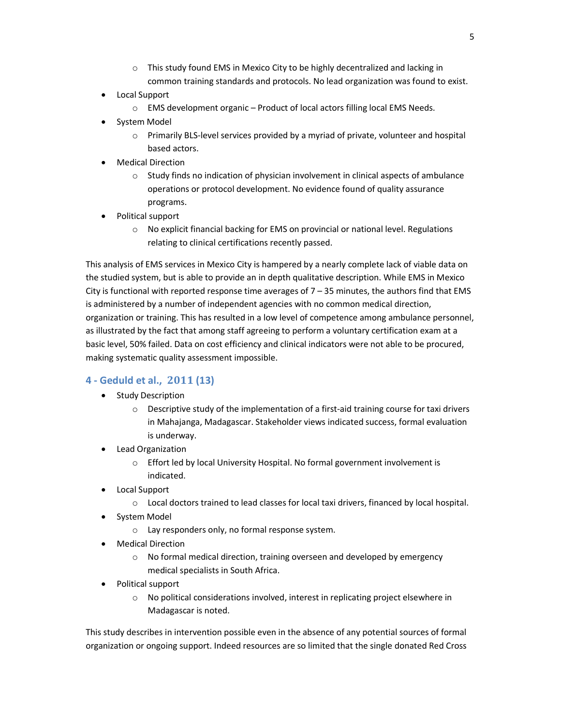- $\circ$  This study found EMS in Mexico City to be highly decentralized and lacking in common training standards and protocols. No lead organization was found to exist.
- Local Support
	- o EMS development organic Product of local actors filling local EMS Needs.
- System Model
	- $\circ$  Primarily BLS-level services provided by a myriad of private, volunteer and hospital based actors.
- Medical Direction
	- $\circ$  Study finds no indication of physician involvement in clinical aspects of ambulance operations or protocol development. No evidence found of quality assurance programs.
- Political support
	- $\circ$  No explicit financial backing for EMS on provincial or national level. Regulations relating to clinical certifications recently passed.

This analysis of EMS services in Mexico City is hampered by a nearly complete lack of viable data on the studied system, but is able to provide an in depth qualitative description. While EMS in Mexico City is functional with reported response time averages of  $7 - 35$  minutes, the authors find that EMS is administered by a number of independent agencies with no common medical direction, organization or training. This has resulted in a low level of competence among ambulance personnel, as illustrated by the fact that among staff agreeing to perform a voluntary certification exam at a basic level, 50% failed. Data on cost efficiency and clinical indicators were not able to be procured, making systematic quality assessment impossible.

## **4 - Geduld et al., 2011 (13)**

- Study Description
	- $\circ$  Descriptive study of the implementation of a first-aid training course for taxi drivers in Mahajanga, Madagascar. Stakeholder views indicated success, formal evaluation is underway.
- Lead Organization
	- o Effort led by local University Hospital. No formal government involvement is indicated.
- Local Support
	- o Local doctors trained to lead classes for local taxi drivers, financed by local hospital.
- System Model
	- o Lay responders only, no formal response system.
- Medical Direction
	- o No formal medical direction, training overseen and developed by emergency medical specialists in South Africa.
- Political support
	- o No political considerations involved, interest in replicating project elsewhere in Madagascar is noted.

This study describes in intervention possible even in the absence of any potential sources of formal organization or ongoing support. Indeed resources are so limited that the single donated Red Cross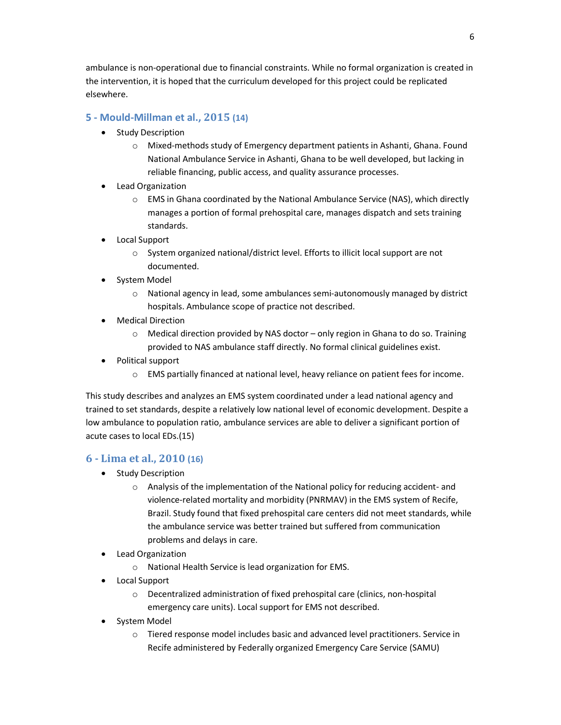ambulance is non-operational due to financial constraints. While no formal organization is created in the intervention, it is hoped that the curriculum developed for this project could be replicated elsewhere.

## **5 - Mould-Millman et al., 2015 (14)**

- Study Description
	- o Mixed-methods study of Emergency department patients in Ashanti, Ghana. Found National Ambulance Service in Ashanti, Ghana to be well developed, but lacking in reliable financing, public access, and quality assurance processes.
- Lead Organization
	- o EMS in Ghana coordinated by the National Ambulance Service (NAS), which directly manages a portion of formal prehospital care, manages dispatch and sets training standards.
- Local Support
	- o System organized national/district level. Efforts to illicit local support are not documented.
- System Model
	- $\circ$  National agency in lead, some ambulances semi-autonomously managed by district hospitals. Ambulance scope of practice not described.
- Medical Direction
	- $\circ$  Medical direction provided by NAS doctor only region in Ghana to do so. Training provided to NAS ambulance staff directly. No formal clinical guidelines exist.
- Political support
	- o EMS partially financed at national level, heavy reliance on patient fees for income.

This study describes and analyzes an EMS system coordinated under a lead national agency and trained to set standards, despite a relatively low national level of economic development. Despite a low ambulance to population ratio, ambulance services are able to deliver a significant portion of acute cases to local EDs.(15)

## **6 - Lima et al., 2010 (16)**

- Study Description
	- o Analysis of the implementation of the National policy for reducing accident- and violence-related mortality and morbidity (PNRMAV) in the EMS system of Recife, Brazil. Study found that fixed prehospital care centers did not meet standards, while the ambulance service was better trained but suffered from communication problems and delays in care.
- Lead Organization
	- o National Health Service is lead organization for EMS.
- Local Support
	- o Decentralized administration of fixed prehospital care (clinics, non-hospital emergency care units). Local support for EMS not described.
- System Model
	- o Tiered response model includes basic and advanced level practitioners. Service in Recife administered by Federally organized Emergency Care Service (SAMU)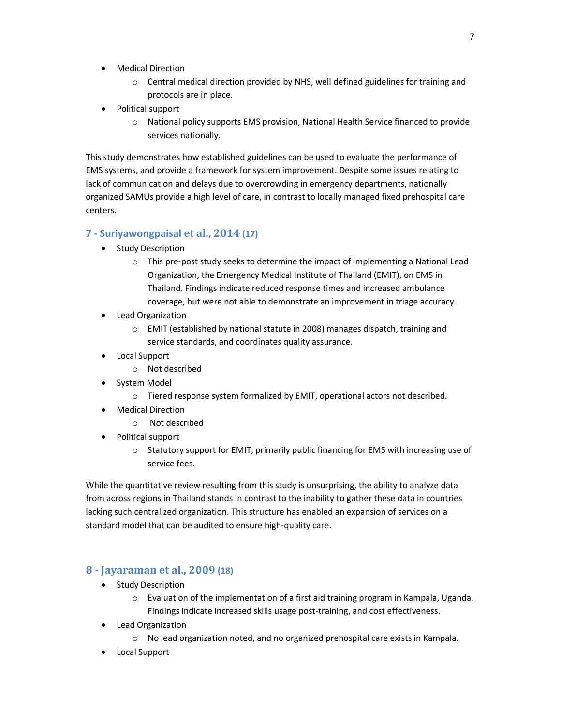- Medical Direction
	- $\circ$  Central medical direction provided by NHS, well defined guidelines for training and protocols are in place.
- Political support
	- o National policy supports EMS provision, National Health Service financed to provide services nationally.

This study demonstrates how established guidelines can be used to evaluate the performance of EMS systems, and provide a framework for system improvement. Despite some issues relating to lack of communication and delays due to overcrowding in emergency departments, nationally organized SAMUs provide a high level of care, in contrast to locally managed fixed prehospital care centers.

#### **7 - Suriyawongpaisal et al., 2014 (17)**

- Study Description
	- o This pre-post study seeks to determine the impact of implementing a National Lead Organization, the Emergency Medical Institute of Thailand (EMIT), on EMS in Thailand. Findings indicate reduced response times and increased ambulance coverage, but were not able to demonstrate an improvement in triage accuracy.
- Lead Organization
	- o EMIT (established by national statute in 2008) manages dispatch, training and service standards, and coordinates quality assurance.
- Local Support
	- o Not described
- System Model
	- $\circ$  Tiered response system formalized by EMIT, operational actors not described.
- Medical Direction
	- o Not described
- Political support
	- $\circ$  Statutory support for EMIT, primarily public financing for EMS with increasing use of service fees.

While the quantitative review resulting from this study is unsurprising, the ability to analyze data from across regions in Thailand stands in contrast to the inability to gather these data in countries lacking such centralized organization. This structure has enabled an expansion of services on a standard model that can be audited to ensure high-quality care.

#### **8 - Jayaraman et al., 2009 (18)**

- Study Description
	- $\circ$  Evaluation of the implementation of a first aid training program in Kampala, Uganda. Findings indicate increased skills usage post-training, and cost effectiveness.
- Lead Organization
	- o No lead organization noted, and no organized prehospital care exists in Kampala.
- Local Support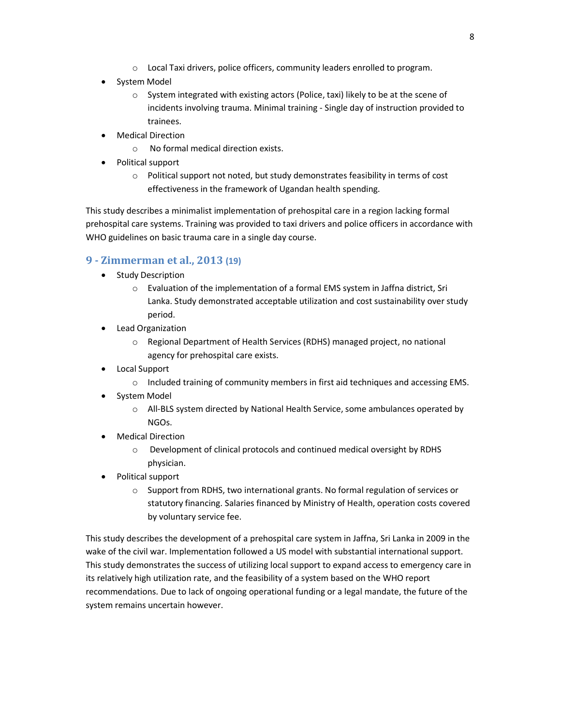- o Local Taxi drivers, police officers, community leaders enrolled to program.
- System Model
	- o System integrated with existing actors (Police, taxi) likely to be at the scene of incidents involving trauma. Minimal training - Single day of instruction provided to trainees.
- Medical Direction
	- o No formal medical direction exists.
- Political support
	- o Political support not noted, but study demonstrates feasibility in terms of cost effectiveness in the framework of Ugandan health spending.

This study describes a minimalist implementation of prehospital care in a region lacking formal prehospital care systems. Training was provided to taxi drivers and police officers in accordance with WHO guidelines on basic trauma care in a single day course.

## **9 - Zimmerman et al., 2013 (19)**

- Study Description
	- o Evaluation of the implementation of a formal EMS system in Jaffna district, Sri Lanka. Study demonstrated acceptable utilization and cost sustainability over study period.
- Lead Organization
	- o Regional Department of Health Services (RDHS) managed project, no national agency for prehospital care exists.
- Local Support
	- o Included training of community members in first aid techniques and accessing EMS.
- System Model
	- o All-BLS system directed by National Health Service, some ambulances operated by NGOs.
- Medical Direction
	- $\circ$  Development of clinical protocols and continued medical oversight by RDHS physician.
- Political support
	- $\circ$  Support from RDHS, two international grants. No formal regulation of services or statutory financing. Salaries financed by Ministry of Health, operation costs covered by voluntary service fee.

This study describes the development of a prehospital care system in Jaffna, Sri Lanka in 2009 in the wake of the civil war. Implementation followed a US model with substantial international support. This study demonstrates the success of utilizing local support to expand access to emergency care in its relatively high utilization rate, and the feasibility of a system based on the WHO report recommendations. Due to lack of ongoing operational funding or a legal mandate, the future of the system remains uncertain however.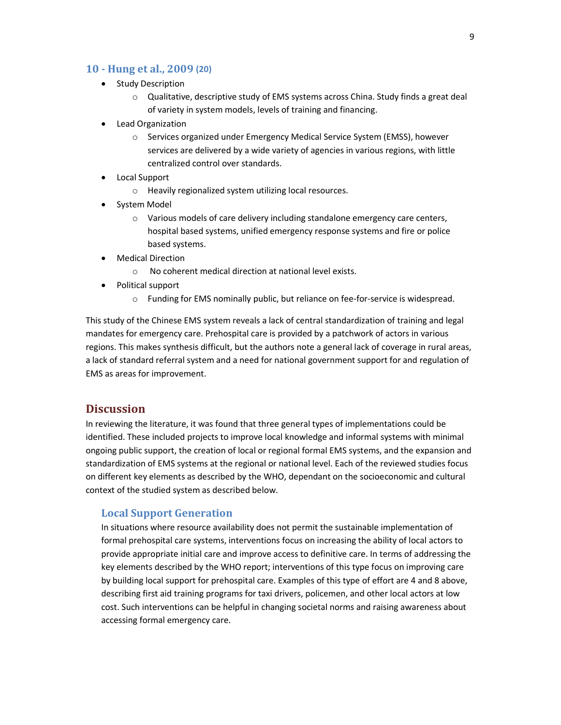#### **10 - Hung et al., 2009 (20)**

- Study Description
	- $\circ$  Qualitative, descriptive study of EMS systems across China. Study finds a great deal of variety in system models, levels of training and financing.
- Lead Organization
	- o Services organized under Emergency Medical Service System (EMSS), however services are delivered by a wide variety of agencies in various regions, with little centralized control over standards.
- Local Support
	- o Heavily regionalized system utilizing local resources.
- System Model
	- o Various models of care delivery including standalone emergency care centers, hospital based systems, unified emergency response systems and fire or police based systems.
- Medical Direction
	- o No coherent medical direction at national level exists.
- Political support
	- $\circ$  Funding for EMS nominally public, but reliance on fee-for-service is widespread.

This study of the Chinese EMS system reveals a lack of central standardization of training and legal mandates for emergency care. Prehospital care is provided by a patchwork of actors in various regions. This makes synthesis difficult, but the authors note a general lack of coverage in rural areas, a lack of standard referral system and a need for national government support for and regulation of EMS as areas for improvement.

## **Discussion**

In reviewing the literature, it was found that three general types of implementations could be identified. These included projects to improve local knowledge and informal systems with minimal ongoing public support, the creation of local or regional formal EMS systems, and the expansion and standardization of EMS systems at the regional or national level. Each of the reviewed studies focus on different key elements as described by the WHO, dependant on the socioeconomic and cultural context of the studied system as described below.

#### **Local Support Generation**

In situations where resource availability does not permit the sustainable implementation of formal prehospital care systems, interventions focus on increasing the ability of local actors to provide appropriate initial care and improve access to definitive care. In terms of addressing the key elements described by the WHO report; interventions of this type focus on improving care by building local support for prehospital care. Examples of this type of effort are 4 and 8 above, describing first aid training programs for taxi drivers, policemen, and other local actors at low cost. Such interventions can be helpful in changing societal norms and raising awareness about accessing formal emergency care.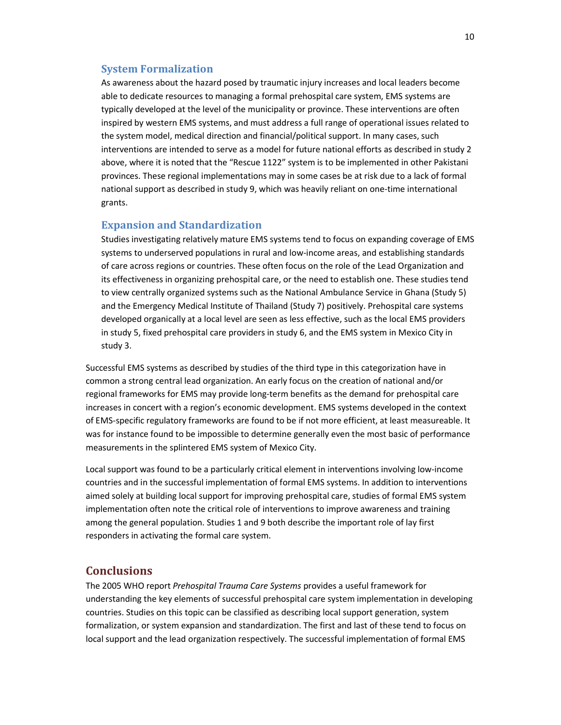#### **System Formalization**

As awareness about the hazard posed by traumatic injury increases and local leaders become able to dedicate resources to managing a formal prehospital care system, EMS systems are typically developed at the level of the municipality or province. These interventions are often inspired by western EMS systems, and must address a full range of operational issues related to the system model, medical direction and financial/political support. In many cases, such interventions are intended to serve as a model for future national efforts as described in study 2 above, where it is noted that the "Rescue 1122" system is to be implemented in other Pakistani provinces. These regional implementations may in some cases be at risk due to a lack of formal national support as described in study 9, which was heavily reliant on one-time international grants.

#### **Expansion and Standardization**

Studies investigating relatively mature EMS systems tend to focus on expanding coverage of EMS systems to underserved populations in rural and low-income areas, and establishing standards of care across regions or countries. These often focus on the role of the Lead Organization and its effectiveness in organizing prehospital care, or the need to establish one. These studies tend to view centrally organized systems such as the National Ambulance Service in Ghana (Study 5) and the Emergency Medical Institute of Thailand (Study 7) positively. Prehospital care systems developed organically at a local level are seen as less effective, such as the local EMS providers in study 5, fixed prehospital care providers in study 6, and the EMS system in Mexico City in study 3.

Successful EMS systems as described by studies of the third type in this categorization have in common a strong central lead organization. An early focus on the creation of national and/or regional frameworks for EMS may provide long-term benefits as the demand for prehospital care increases in concert with a region's economic development. EMS systems developed in the context of EMS-specific regulatory frameworks are found to be if not more efficient, at least measureable. It was for instance found to be impossible to determine generally even the most basic of performance measurements in the splintered EMS system of Mexico City.

Local support was found to be a particularly critical element in interventions involving low-income countries and in the successful implementation of formal EMS systems. In addition to interventions aimed solely at building local support for improving prehospital care, studies of formal EMS system implementation often note the critical role of interventions to improve awareness and training among the general population. Studies 1 and 9 both describe the important role of lay first responders in activating the formal care system.

## **Conclusions**

The 2005 WHO report *Prehospital Trauma Care Systems* provides a useful framework for understanding the key elements of successful prehospital care system implementation in developing countries. Studies on this topic can be classified as describing local support generation, system formalization, or system expansion and standardization. The first and last of these tend to focus on local support and the lead organization respectively. The successful implementation of formal EMS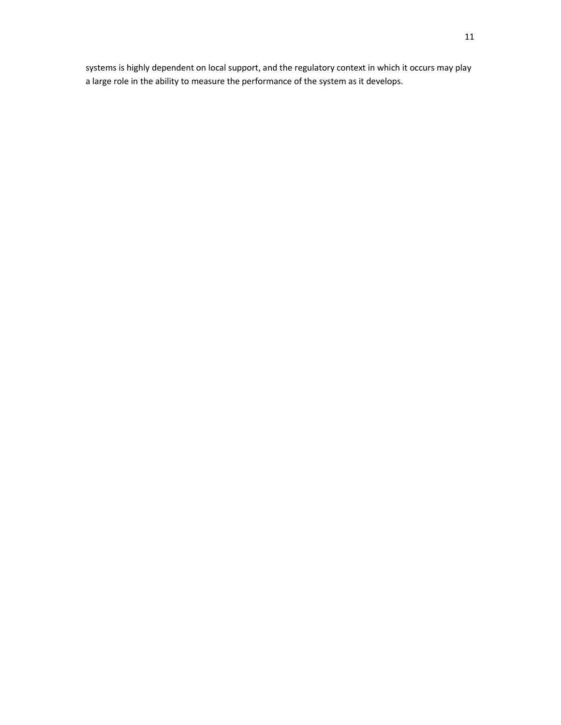systems is highly dependent on local support, and the regulatory context in which it occurs may play a large role in the ability to measure the performance of the system as it develops.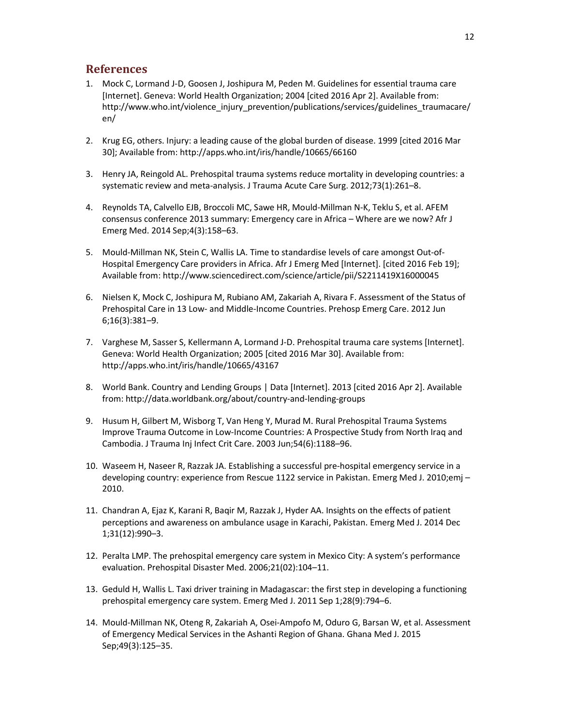## **References**

- 1. Mock C, Lormand J-D, Goosen J, Joshipura M, Peden M. Guidelines for essential trauma care [Internet]. Geneva: World Health Organization; 2004 [cited 2016 Apr 2]. Available from: http://www.who.int/violence\_injury\_prevention/publications/services/guidelines\_traumacare/ en/
- 2. Krug EG, others. Injury: a leading cause of the global burden of disease. 1999 [cited 2016 Mar 30]; Available from: http://apps.who.int/iris/handle/10665/66160
- 3. Henry JA, Reingold AL. Prehospital trauma systems reduce mortality in developing countries: a systematic review and meta-analysis. J Trauma Acute Care Surg. 2012;73(1):261–8.
- 4. Reynolds TA, Calvello EJB, Broccoli MC, Sawe HR, Mould-Millman N-K, Teklu S, et al. AFEM consensus conference 2013 summary: Emergency care in Africa – Where are we now? Afr J Emerg Med. 2014 Sep;4(3):158–63.
- 5. Mould-Millman NK, Stein C, Wallis LA. Time to standardise levels of care amongst Out-of-Hospital Emergency Care providers in Africa. Afr J Emerg Med [Internet]. [cited 2016 Feb 19]; Available from: http://www.sciencedirect.com/science/article/pii/S2211419X16000045
- 6. Nielsen K, Mock C, Joshipura M, Rubiano AM, Zakariah A, Rivara F. Assessment of the Status of Prehospital Care in 13 Low- and Middle-Income Countries. Prehosp Emerg Care. 2012 Jun 6;16(3):381–9.
- 7. Varghese M, Sasser S, Kellermann A, Lormand J-D. Prehospital trauma care systems [Internet]. Geneva: World Health Organization; 2005 [cited 2016 Mar 30]. Available from: http://apps.who.int/iris/handle/10665/43167
- 8. World Bank. Country and Lending Groups | Data [Internet]. 2013 [cited 2016 Apr 2]. Available from: http://data.worldbank.org/about/country-and-lending-groups
- 9. Husum H, Gilbert M, Wisborg T, Van Heng Y, Murad M. Rural Prehospital Trauma Systems Improve Trauma Outcome in Low-Income Countries: A Prospective Study from North Iraq and Cambodia. J Trauma Inj Infect Crit Care. 2003 Jun;54(6):1188–96.
- 10. Waseem H, Naseer R, Razzak JA. Establishing a successful pre-hospital emergency service in a developing country: experience from Rescue 1122 service in Pakistan. Emerg Med J. 2010;emj – 2010.
- 11. Chandran A, Ejaz K, Karani R, Baqir M, Razzak J, Hyder AA. Insights on the effects of patient perceptions and awareness on ambulance usage in Karachi, Pakistan. Emerg Med J. 2014 Dec 1;31(12):990–3.
- 12. Peralta LMP. The prehospital emergency care system in Mexico City: A system's performance evaluation. Prehospital Disaster Med. 2006;21(02):104–11.
- 13. Geduld H, Wallis L. Taxi driver training in Madagascar: the first step in developing a functioning prehospital emergency care system. Emerg Med J. 2011 Sep 1;28(9):794–6.
- 14. Mould-Millman NK, Oteng R, Zakariah A, Osei-Ampofo M, Oduro G, Barsan W, et al. Assessment of Emergency Medical Services in the Ashanti Region of Ghana. Ghana Med J. 2015 Sep;49(3):125–35.